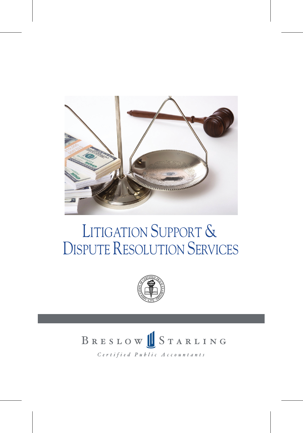

# LITIGATION SUPPORT & DISPUTE RESOLUTION SERVICES



### BRESLOW STARLING Certified Public Accountants